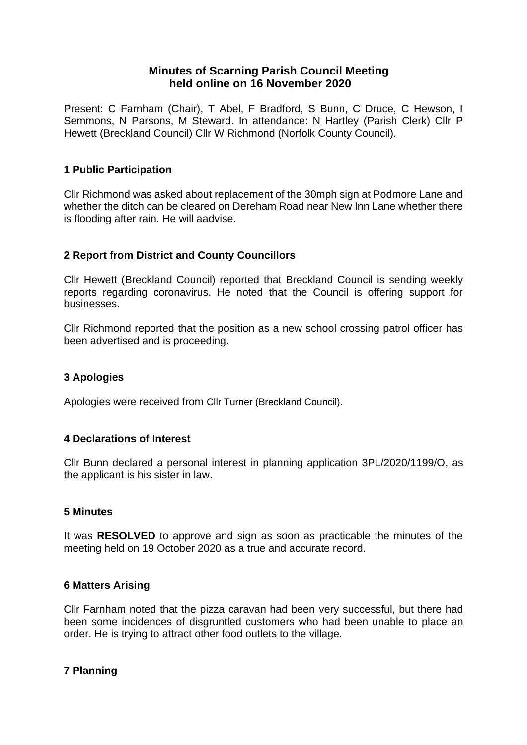# **Minutes of Scarning Parish Council Meeting held online on 16 November 2020**

Present: C Farnham (Chair), T Abel, F Bradford, S Bunn, C Druce, C Hewson, I Semmons, N Parsons, M Steward. In attendance: N Hartley (Parish Clerk) Cllr P Hewett (Breckland Council) Cllr W Richmond (Norfolk County Council).

# **1 Public Participation**

Cllr Richmond was asked about replacement of the 30mph sign at Podmore Lane and whether the ditch can be cleared on Dereham Road near New Inn Lane whether there is flooding after rain. He will aadvise.

# **2 Report from District and County Councillors**

Cllr Hewett (Breckland Council) reported that Breckland Council is sending weekly reports regarding coronavirus. He noted that the Council is offering support for businesses.

Cllr Richmond reported that the position as a new school crossing patrol officer has been advertised and is proceeding.

# **3 Apologies**

Apologies were received from Cllr Turner (Breckland Council).

### **4 Declarations of Interest**

Cllr Bunn declared a personal interest in planning application 3PL/2020/1199/O, as the applicant is his sister in law.

#### **5 Minutes**

It was **RESOLVED** to approve and sign as soon as practicable the minutes of the meeting held on 19 October 2020 as a true and accurate record.

### **6 Matters Arising**

Cllr Farnham noted that the pizza caravan had been very successful, but there had been some incidences of disgruntled customers who had been unable to place an order. He is trying to attract other food outlets to the village.

### **7 Planning**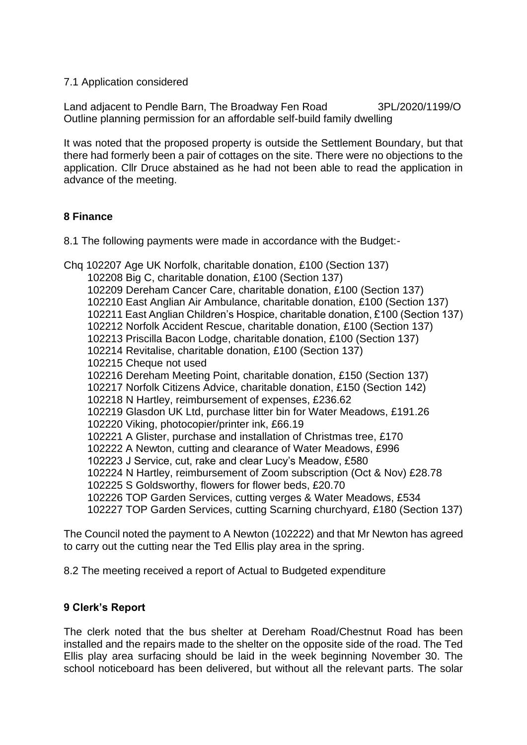#### 7.1 Application considered

Land adjacent to Pendle Barn, The Broadway Fen Road 3PL/2020/1199/O Outline planning permission for an affordable self-build family dwelling

It was noted that the proposed property is outside the Settlement Boundary, but that there had formerly been a pair of cottages on the site. There were no objections to the application. Cllr Druce abstained as he had not been able to read the application in advance of the meeting.

### **8 Finance**

8.1 The following payments were made in accordance with the Budget:-

Chq 102207 Age UK Norfolk, charitable donation, £100 (Section 137) 102208 Big C, charitable donation, £100 (Section 137) 102209 Dereham Cancer Care, charitable donation, £100 (Section 137) 102210 East Anglian Air Ambulance, charitable donation, £100 (Section 137) 102211 East Anglian Children's Hospice, charitable donation, £100 (Section 137) 102212 Norfolk Accident Rescue, charitable donation, £100 (Section 137) 102213 Priscilla Bacon Lodge, charitable donation, £100 (Section 137) 102214 Revitalise, charitable donation, £100 (Section 137) 102215 Cheque not used 102216 Dereham Meeting Point, charitable donation, £150 (Section 137) 102217 Norfolk Citizens Advice, charitable donation, £150 (Section 142) 102218 N Hartley, reimbursement of expenses, £236.62 102219 Glasdon UK Ltd, purchase litter bin for Water Meadows, £191.26 102220 Viking, photocopier/printer ink, £66.19 102221 A Glister, purchase and installation of Christmas tree, £170 102222 A Newton, cutting and clearance of Water Meadows, £996 102223 J Service, cut, rake and clear Lucy's Meadow, £580 102224 N Hartley, reimbursement of Zoom subscription (Oct & Nov) £28.78 102225 S Goldsworthy, flowers for flower beds, £20.70 102226 TOP Garden Services, cutting verges & Water Meadows, £534 102227 TOP Garden Services, cutting Scarning churchyard, £180 (Section 137)

The Council noted the payment to A Newton (102222) and that Mr Newton has agreed to carry out the cutting near the Ted Ellis play area in the spring.

8.2 The meeting received a report of Actual to Budgeted expenditure

# **9 Clerk's Report**

The clerk noted that the bus shelter at Dereham Road/Chestnut Road has been installed and the repairs made to the shelter on the opposite side of the road. The Ted Ellis play area surfacing should be laid in the week beginning November 30. The school noticeboard has been delivered, but without all the relevant parts. The solar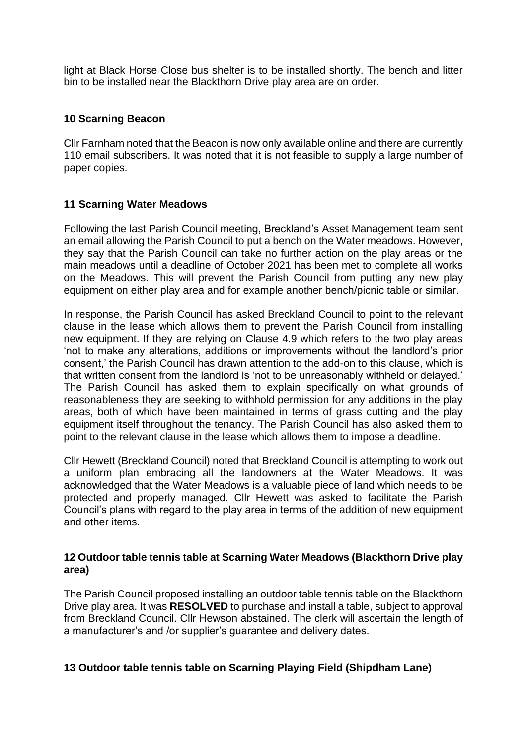light at Black Horse Close bus shelter is to be installed shortly. The bench and litter bin to be installed near the Blackthorn Drive play area are on order.

# **10 Scarning Beacon**

Cllr Farnham noted that the Beacon is now only available online and there are currently 110 email subscribers. It was noted that it is not feasible to supply a large number of paper copies.

# **11 Scarning Water Meadows**

Following the last Parish Council meeting, Breckland's Asset Management team sent an email allowing the Parish Council to put a bench on the Water meadows. However, they say that the Parish Council can take no further action on the play areas or the main meadows until a deadline of October 2021 has been met to complete all works on the Meadows. This will prevent the Parish Council from putting any new play equipment on either play area and for example another bench/picnic table or similar.

In response, the Parish Council has asked Breckland Council to point to the relevant clause in the lease which allows them to prevent the Parish Council from installing new equipment. If they are relying on Clause 4.9 which refers to the two play areas 'not to make any alterations, additions or improvements without the landlord's prior consent,' the Parish Council has drawn attention to the add-on to this clause, which is that written consent from the landlord is 'not to be unreasonably withheld or delayed.' The Parish Council has asked them to explain specifically on what grounds of reasonableness they are seeking to withhold permission for any additions in the play areas, both of which have been maintained in terms of grass cutting and the play equipment itself throughout the tenancy. The Parish Council has also asked them to point to the relevant clause in the lease which allows them to impose a deadline.

Cllr Hewett (Breckland Council) noted that Breckland Council is attempting to work out a uniform plan embracing all the landowners at the Water Meadows. It was acknowledged that the Water Meadows is a valuable piece of land which needs to be protected and properly managed. Cllr Hewett was asked to facilitate the Parish Council's plans with regard to the play area in terms of the addition of new equipment and other items.

### **12 Outdoor table tennis table at Scarning Water Meadows (Blackthorn Drive play area)**

The Parish Council proposed installing an outdoor table tennis table on the Blackthorn Drive play area. It was **RESOLVED** to purchase and install a table, subject to approval from Breckland Council. Cllr Hewson abstained. The clerk will ascertain the length of a manufacturer's and /or supplier's guarantee and delivery dates.

### **13 Outdoor table tennis table on Scarning Playing Field (Shipdham Lane)**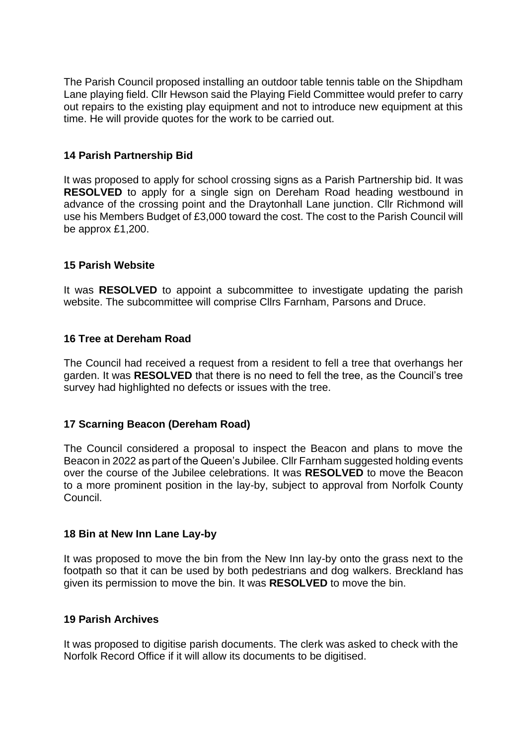The Parish Council proposed installing an outdoor table tennis table on the Shipdham Lane playing field. Cllr Hewson said the Playing Field Committee would prefer to carry out repairs to the existing play equipment and not to introduce new equipment at this time. He will provide quotes for the work to be carried out.

# **14 Parish Partnership Bid**

It was proposed to apply for school crossing signs as a Parish Partnership bid. It was **RESOLVED** to apply for a single sign on Dereham Road heading westbound in advance of the crossing point and the Draytonhall Lane junction. Cllr Richmond will use his Members Budget of £3,000 toward the cost. The cost to the Parish Council will be approx £1,200.

### **15 Parish Website**

It was **RESOLVED** to appoint a subcommittee to investigate updating the parish website. The subcommittee will comprise Cllrs Farnham, Parsons and Druce.

### **16 Tree at Dereham Road**

The Council had received a request from a resident to fell a tree that overhangs her garden. It was **RESOLVED** that there is no need to fell the tree, as the Council's tree survey had highlighted no defects or issues with the tree.

### **17 Scarning Beacon (Dereham Road)**

The Council considered a proposal to inspect the Beacon and plans to move the Beacon in 2022 as part of the Queen's Jubilee. Cllr Farnham suggested holding events over the course of the Jubilee celebrations. It was **RESOLVED** to move the Beacon to a more prominent position in the lay-by, subject to approval from Norfolk County Council.

### **18 Bin at New Inn Lane Lay-by**

It was proposed to move the bin from the New Inn lay-by onto the grass next to the footpath so that it can be used by both pedestrians and dog walkers. Breckland has given its permission to move the bin. It was **RESOLVED** to move the bin.

### **19 Parish Archives**

It was proposed to digitise parish documents. The clerk was asked to check with the Norfolk Record Office if it will allow its documents to be digitised.